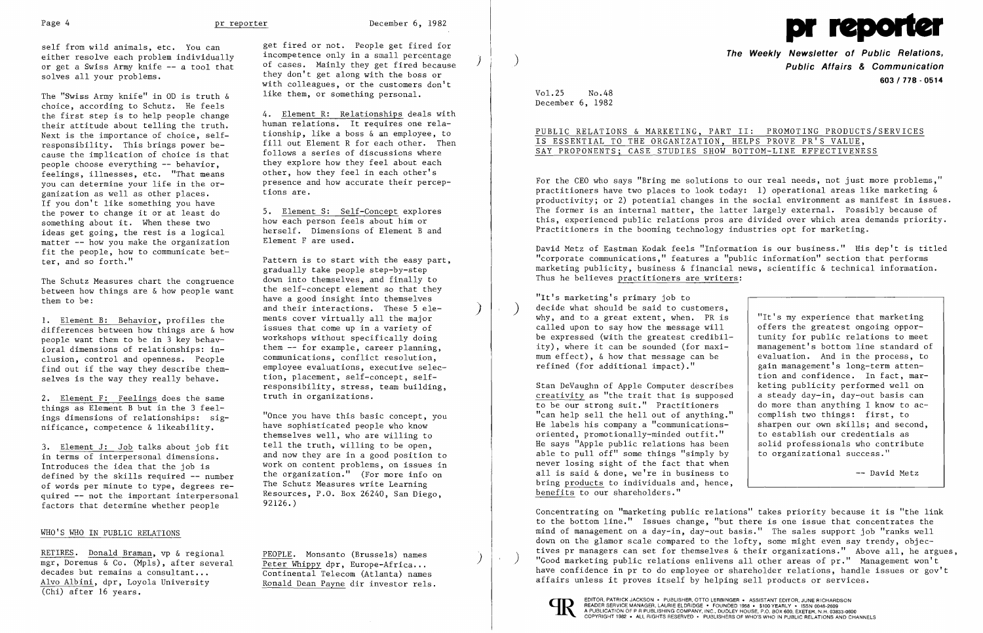Page 4 **pr reporter December 6, 1982** 

either resolve each problem individually<br>or get a Swiss Army knife  $--$  a tool that or get a Swiss Army knife -- a tool that of cases. Mainly they get fired because<br>solves all your problems.<br>they don't get along with the boss or

The "Swiss Army knife" in OD is truth  $\delta$ choice, according to Schutz. He feels the first step is to help people change  $\frac{4. \text{Element R: Relationships} }{ \text{human relations. It requires one rela} }$ their attitude about telling the truth.<br>Next is the importance of choice, self-Next is the importance of choice, self-<br>responsibility. This brings power be-<br>fill out Element R for each other. Then cause the implication of choice is that follows a series of discussions where<br>neonle choose everything -- behavior they explore how they feel about each people choose everything -- behavior, feelings, illnesses, etc. "That means<br>you can determine your life in the organization as well as other places. If you don't like something you have<br>the power to change it or at least do the power to change it or at least do 5. Element S: Self-Concept explores<br>something about it. When these two how each person feels about him or something about it. When these two how each person feels about him or ideas get going, the rest is a logical herself. Dimensions of Element B and<br>matter -- how you make the organization Element F are used. matter  $-$ - how you make the organization fit the people, how to communicate better, and so forth."

The Schutz Measures chart the congruence down into themselves, and finally to  $h$ between how things are  $\&$  how people want them to be:  $\overline{\phantom{a}}$  them to be:

1. Element B: Behavior, profiles the ments cover virtually all the major differences between how things are  $\&$  how issues that come up in a variety of differences between how things are  $\&$  how the issues that come up in a variety of the neonle want them to be in 3 key behavpeople want them to be in 3 key behavioral dimensions of relationships: in-<br>clusion, control and openness. People communications, conflict resolution, clusion, control and openness. People communications, conflict resolution,<br>find out if the way they describe them- employee evaluations, executive selecfind out if the way they describe them-<br>selves is the way they really behave. <br>tion, placement, self-concept, selfselves is the way they really behave.

2. Element F: Feelings does the same things as Element B but in the 3 feel ings dimensions of relationships: sig-<br>ings dimensions of relationships: sig-<br> ings dimensions of relationships: sig-<br>mificance, competence & likeability. have sophisticated people who know

3. Element J: Job talks about job fit tell the truth, willing to be open, in terms of interpersonal dimensions. and now they are in a good position Introduces the idea that the job is  $\frac{1}{2}$  work on content problems, on issues in defined by the skills required  $-$  number the organization." (For more info on defined by the skills required -- number the organization." (For more info<br>of words per minute to type, degrees re- The Schutz Measures write Learning of words per minute to type, degrees re-<br>quired -- not the important interpersonal Resources, P.O. Box 26240. San Diego. quired  $-$  not the important interpersonal sessurce<br>factors that determine whether neonle 92126.) factors that determine whether people

themselves well, who are willing to and now they are in a good position to

Ronald Dean Payne dir investor rels.

RETIRES. Donald Braman, vp & regional  $\frac{PEOPLE}{PEDPLE}$ . Monsanto (Brussels) names mgr, Doremus & Co. (Mpls), after several  $\frac{Peter}{Peter}$  Whippy dpr, Europe-Africa... decades but remains a consultant... decades but remains a consultant...<br>Alvo Albini, dpr, Loyola University Ronald Dean Payne dir investor rels (Chi) after 16 years.

self from wild animals, etc. You can a get fired or not. People get fired for<br>
either resolve each problem individually incompetence only in a small percentage they don't get along with the boss or with colleagues, or the customers don't<br>like them, or something personal.

responsibility. This brings power be-<br>responsibility. This brings power be-<br> $\int$  fill out Element R for each other. Then other, how they feel in each other's presence and how accurate their perceptions are.

 Pattern is to start with the easy part, gradually take people step-by-step and their interactions. These 5 ele-<br>ments cover virtually all the major responsibility, stress, team building,

For the CEO who says "Bring me solutions to our real needs, not just more problems," practitioners have two places to look today: 1) operational areas like marketing & productivity; or 2) potential changes in the social environment as manifest in issues. The former is an internal matter, the latter largely external. Possibly because of this, experienced public relations pros are divided over which area demands priority. Practitioners in the booming technology industries opt for marketing.

David Metz of Eastman Kodak feels "Information is our business." His dep't is titled "corporate communications," features a "public information" section that performs marketing publicity, business & financial news, scientific & technical information. Thus he believes practitioners are writers:

"It's marketing's primary job to decide what should be said to customers, why, and to a great extent, when. PR is called upon to say how the message will be expressed (with the greatest credibil ity), where it can be sounded (for maximum effect),  $\&$  how that message can be refined (for additional impact)."

Stan DeVaughn of Apple Computer describe creativity as "the trait that is suppose to be our strong suit." Practitioners "can help sell the hell out of anything. He labels his company a "communications oriented, promotionally-minded outfit." He says "Apple public relations has been able to pull off" some things "simply by never losing sight of the fact that when all is said & done, we're in business to bring products to individuals and, hence, benefits to our shareholders."

### WHO'S WHO IN PUBLIC RELATIONS

Concentrating on "marketing public relations" takes priority because it is "the link to the bottom line." Issues change, "but there is one issue that concentrates the mind of management on a day-in, day-out basis." The sales support job "ranks well down on the glamor scale compared to the lofty, some might even say trendy, objectives pr managers can set for themselves & their organizations." Above all, he argues, "Good marketing public relations enlivens all other areas of pr." Management won't have confidence in pr to do employee or shareholder relations, handle issues or gov't affairs unless it proves itself by helping sell products or services.





**The Weekly Newsletter of Public Relations,** ) **Public Affairs & Communication 603/178 - 0514** 

Vol.25 No.48 December 6, 1982

# PUBLIC RELATIONS & MARKETING, PART II: PROMOTING PRODUCTS/SERVICES

IS ESSENTIAL TO THE ORGANIZATION, HELPS PROVE PR'S VALUE, SAY PROPONENTS; CASE STUDIES SHOW BOTTOM-LINE EFFECTIVENESS

| s   | "It's my experience that marketing   |
|-----|--------------------------------------|
|     | offers the greatest ongoing oppor-   |
| 1 – | tunity for public relations to meet  |
|     | management's bottom line standard of |
|     | evaluation. And in the process, to   |
|     | gain management's long-term atten-   |
|     | tion and confidence. In fact, mar-   |
| 5s  | keting publicity performed well on   |
| еd  | a steady day-in, day-out basis can   |
|     | do more than anything I know to ac-  |
| ."  | complish two things: first, to       |
|     | sharpen our own skills; and second,  |
|     | to establish our credentials as      |
| h   | solid professionals who contribute   |
| ÿ   | to organizational success."          |
| n   |                                      |
| G   | -- David Metz                        |
|     |                                      |

EDITOR, PATRICK JACKSON' PUBLISHER, OTTO LERBINGER • ASSISTANT EDITOR, JUNE RICHARDSON